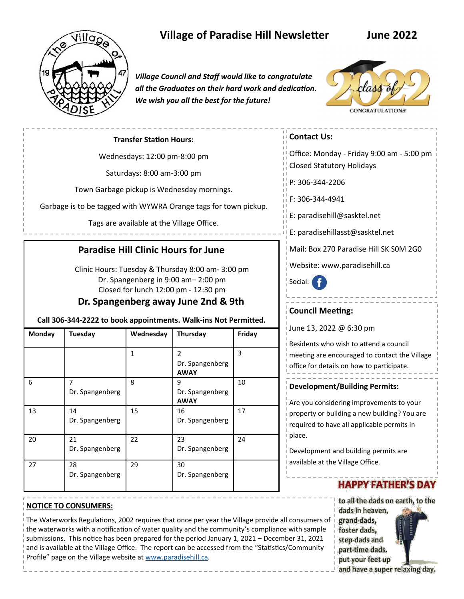

# **Village of Paradise Hill Newsletter June 2022**

*Village Council and Staff would like to congratulate all the Graduates on their hard work and dedication. We wish you all the best for the future!*



#### **Transfer Station Hours:**

Wednesdays: 12:00 pm-8:00 pm

Saturdays: 8:00 am-3:00 pm

Town Garbage pickup is Wednesday mornings.

Garbage is to be tagged with WYWRA Orange tags for town pickup.

Tags are available at the Village Office.

## **Paradise Hill Clinic Hours for June**

 Clinic Hours: Tuesday & Thursday 8:00 am- 3:00 pm Dr. Spangenberg in 9:00 am– 2:00 pm Closed for lunch 12:00 pm - 12:30 pm

## **Dr. Spangenberg away June 2nd & 9th**

#### **Call 306-344-2222 to book appointments. Walk-ins Not Permitted.**

| Monday | Tuesday                           | Wednesday | Thursday                                        | Friday |
|--------|-----------------------------------|-----------|-------------------------------------------------|--------|
|        |                                   | 1         | $\mathcal{P}$<br>Dr. Spangenberg<br><b>AWAY</b> | 3      |
| 6      | $\overline{7}$<br>Dr. Spangenberg | 8         | 9<br>Dr. Spangenberg<br><b>AWAY</b>             | 10     |
| 13     | 14<br>Dr. Spangenberg             | 15        | 16<br>Dr. Spangenberg                           | 17     |
| 20     | 21<br>Dr. Spangenberg             | 22        | 23<br>Dr. Spangenberg                           | 24     |
| 27     | 28<br>Dr. Spangenberg             | 29        | 30<br>Dr. Spangenberg                           |        |

## **Contact Us:**

Office: Monday - Friday 9:00 am - 5:00 pm Closed Statutory Holidays

P: 306-344-2206

F: 306-344-4941

E: paradisehill@sasktel.net

E: paradisehillasst@sasktel.net

Mail: Box 270 Paradise Hill SK S0M 2G0

Website: www.paradisehill.ca

Social:

### **Council Meeting:**

June 13, 2022 @ 6:30 pm

Residents who wish to attend a council meeting are encouraged to contact the Village office for details on how to participate.

#### **Development/Building Permits:**

Are you considering improvements to your property or building a new building? You are required to have all applicable permits in place.

Development and building permits are available at the Village Office.

# **HAPPY FATHER'S DAY**

to all the dads on earth, to the dads in heaven. grand-dads, foster dads, step-dads and part-time dads. put your feet up

**NOTICE TO CONSUMERS:**

The Waterworks Regulations, 2002 requires that once per year the Village provide all consumers of the waterworks with a notification of water quality and the community's compliance with sample submissions. This notice has been prepared for the period January 1, 2021 – December 31, 2021 and is available at the Village Office. The report can be accessed from the "Statistics/Community Profile" page on the Village website at [www.paradisehill.ca.](http://www.paradisehill.ca)

and have a super relaxing day.